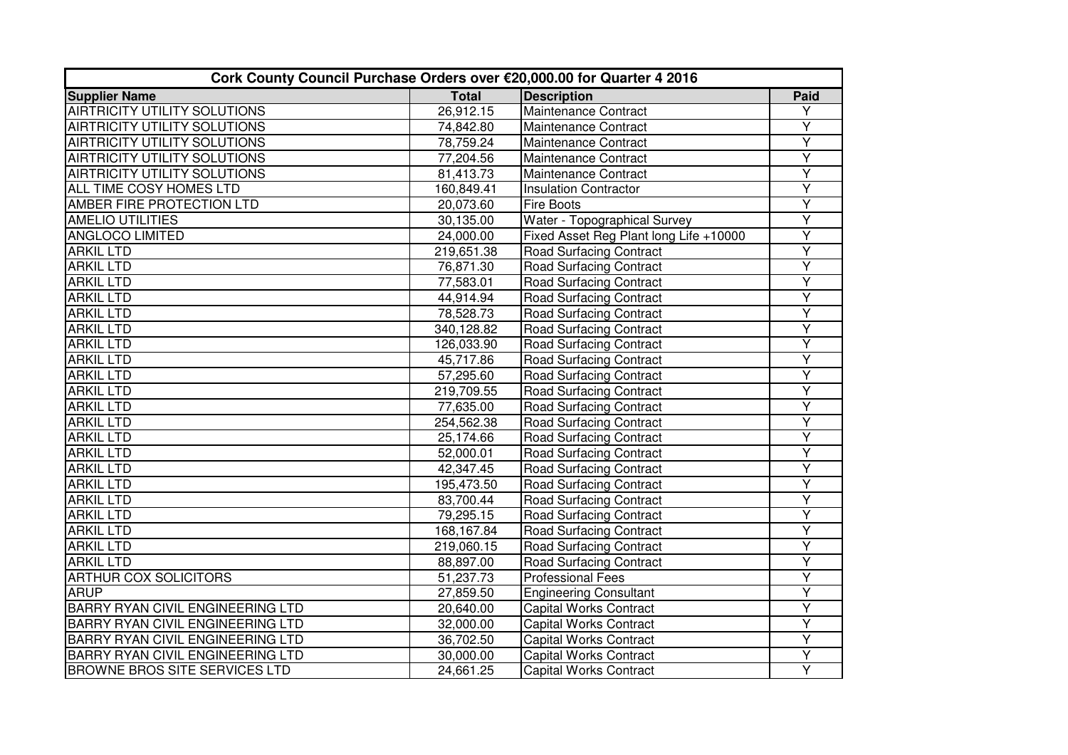| Cork County Council Purchase Orders over €20,000.00 for Quarter 4 2016 |              |                                        |                         |  |
|------------------------------------------------------------------------|--------------|----------------------------------------|-------------------------|--|
| <b>Supplier Name</b>                                                   | <b>Total</b> | <b>Description</b>                     | Paid                    |  |
| <b>AIRTRICITY UTILITY SOLUTIONS</b>                                    | 26,912.15    | Maintenance Contract                   | Y                       |  |
| <b>AIRTRICITY UTILITY SOLUTIONS</b>                                    | 74,842.80    | Maintenance Contract                   | Υ                       |  |
| <b>AIRTRICITY UTILITY SOLUTIONS</b>                                    | 78,759.24    | Maintenance Contract                   | Y                       |  |
| AIRTRICITY UTILITY SOLUTIONS                                           | 77,204.56    | Maintenance Contract                   | Y                       |  |
| <b>AIRTRICITY UTILITY SOLUTIONS</b>                                    | 81,413.73    | Maintenance Contract                   | Ÿ                       |  |
| ALL TIME COSY HOMES LTD                                                | 160,849.41   | <b>Insulation Contractor</b>           | Ÿ                       |  |
| AMBER FIRE PROTECTION LTD                                              | 20,073.60    | <b>Fire Boots</b>                      | Y                       |  |
| <b>AMELIO UTILITIES</b>                                                | 30,135.00    | Water - Topographical Survey           | Ÿ                       |  |
| <b>ANGLOCO LIMITED</b>                                                 | 24,000.00    | Fixed Asset Reg Plant long Life +10000 | Y                       |  |
| <b>ARKIL LTD</b>                                                       | 219,651.38   | <b>Road Surfacing Contract</b>         | Υ                       |  |
| <b>ARKIL LTD</b>                                                       | 76,871.30    | <b>Road Surfacing Contract</b>         | Ÿ                       |  |
| <b>ARKIL LTD</b>                                                       | 77,583.01    | <b>Road Surfacing Contract</b>         | $\overline{\mathsf{Y}}$ |  |
| <b>ARKIL LTD</b>                                                       | 44,914.94    | <b>Road Surfacing Contract</b>         | Y                       |  |
| <b>ARKIL LTD</b>                                                       | 78,528.73    | <b>Road Surfacing Contract</b>         | $\overline{\mathsf{Y}}$ |  |
| <b>ARKIL LTD</b>                                                       | 340,128.82   | <b>Road Surfacing Contract</b>         | Y                       |  |
| <b>ARKIL LTD</b>                                                       | 126,033.90   | <b>Road Surfacing Contract</b>         | Ÿ                       |  |
| <b>ARKIL LTD</b>                                                       | 45,717.86    | <b>Road Surfacing Contract</b>         | Ÿ                       |  |
| <b>ARKIL LTD</b>                                                       | 57,295.60    | <b>Road Surfacing Contract</b>         | Ÿ                       |  |
| <b>ARKIL LTD</b>                                                       | 219,709.55   | <b>Road Surfacing Contract</b>         | Υ                       |  |
| <b>ARKIL LTD</b>                                                       | 77,635.00    | <b>Road Surfacing Contract</b>         | Ÿ                       |  |
| <b>ARKIL LTD</b>                                                       | 254,562.38   | <b>Road Surfacing Contract</b>         | Y                       |  |
| <b>ARKIL LTD</b>                                                       | 25,174.66    | <b>Road Surfacing Contract</b>         | Ÿ                       |  |
| <b>ARKIL LTD</b>                                                       | 52,000.01    | <b>Road Surfacing Contract</b>         | Ÿ                       |  |
| <b>ARKIL LTD</b>                                                       | 42,347.45    | <b>Road Surfacing Contract</b>         | Ÿ                       |  |
| <b>ARKIL LTD</b>                                                       | 195,473.50   | <b>Road Surfacing Contract</b>         | Ÿ                       |  |
| <b>ARKIL LTD</b>                                                       | 83,700.44    | <b>Road Surfacing Contract</b>         | Y                       |  |
| <b>ARKIL LTD</b>                                                       | 79,295.15    | <b>Road Surfacing Contract</b>         | Υ                       |  |
| <b>ARKIL LTD</b>                                                       | 168,167.84   | <b>Road Surfacing Contract</b>         | Y                       |  |
| <b>ARKIL LTD</b>                                                       | 219,060.15   | <b>Road Surfacing Contract</b>         | Ÿ                       |  |
| <b>ARKIL LTD</b>                                                       | 88,897.00    | <b>Road Surfacing Contract</b>         | Y                       |  |
| <b>ARTHUR COX SOLICITORS</b>                                           | 51,237.73    | <b>Professional Fees</b>               | Ÿ                       |  |
| <b>ARUP</b>                                                            | 27,859.50    | <b>Engineering Consultant</b>          | Y                       |  |
| <b>BARRY RYAN CIVIL ENGINEERING LTD</b>                                | 20,640.00    | <b>Capital Works Contract</b>          | $\overline{\mathsf{Y}}$ |  |
| BARRY RYAN CIVIL ENGINEERING LTD                                       | 32,000.00    | <b>Capital Works Contract</b>          | Y                       |  |
| <b>BARRY RYAN CIVIL ENGINEERING LTD</b>                                | 36,702.50    | <b>Capital Works Contract</b>          | Ÿ                       |  |
| <b>BARRY RYAN CIVIL ENGINEERING LTD</b>                                | 30,000.00    | <b>Capital Works Contract</b>          | Υ                       |  |
| <b>BROWNE BROS SITE SERVICES LTD</b>                                   | 24,661.25    | <b>Capital Works Contract</b>          | Ÿ                       |  |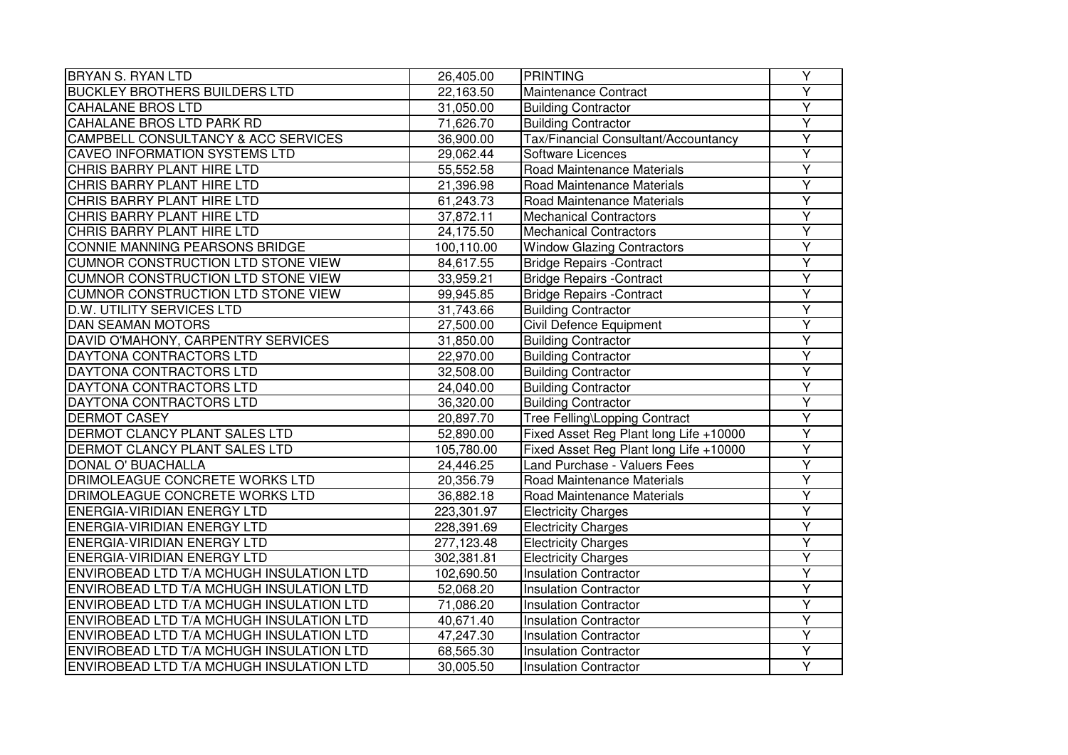| <b>BRYAN S. RYAN LTD</b>                 | 26,405.00  | <b>PRINTING</b>                        | Υ                       |
|------------------------------------------|------------|----------------------------------------|-------------------------|
| <b>BUCKLEY BROTHERS BUILDERS LTD</b>     | 22,163.50  | Maintenance Contract                   | Ÿ                       |
| <b>CAHALANE BROS LTD</b>                 | 31,050.00  | <b>Building Contractor</b>             | Y                       |
| CAHALANE BROS LTD PARK RD                | 71,626.70  | <b>Building Contractor</b>             | Y                       |
| CAMPBELL CONSULTANCY & ACC SERVICES      | 36,900.00  | Tax/Financial Consultant/Accountancy   | $\overline{\mathsf{Y}}$ |
| <b>CAVEO INFORMATION SYSTEMS LTD</b>     | 29,062.44  | Software Licences                      | $\overline{Y}$          |
| CHRIS BARRY PLANT HIRE LTD               | 55,552.58  | Road Maintenance Materials             | Ÿ                       |
| CHRIS BARRY PLANT HIRE LTD               | 21,396.98  | Road Maintenance Materials             | Υ                       |
| CHRIS BARRY PLANT HIRE LTD               | 61,243.73  | Road Maintenance Materials             | Y                       |
| CHRIS BARRY PLANT HIRE LTD               | 37,872.11  | <b>Mechanical Contractors</b>          | Ÿ                       |
| CHRIS BARRY PLANT HIRE LTD               | 24,175.50  | <b>Mechanical Contractors</b>          | $\overline{\mathsf{Y}}$ |
| CONNIE MANNING PEARSONS BRIDGE           | 100,110.00 | <b>Window Glazing Contractors</b>      | Y                       |
| CUMNOR CONSTRUCTION LTD STONE VIEW       | 84,617.55  | <b>Bridge Repairs -Contract</b>        | Ÿ                       |
| CUMNOR CONSTRUCTION LTD STONE VIEW       | 33,959.21  | <b>Bridge Repairs -Contract</b>        | Y                       |
| CUMNOR CONSTRUCTION LTD STONE VIEW       | 99,945.85  | <b>Bridge Repairs -Contract</b>        | Y                       |
| <b>D.W. UTILITY SERVICES LTD</b>         | 31,743.66  | <b>Building Contractor</b>             | Ÿ                       |
| <b>DAN SEAMAN MOTORS</b>                 | 27,500.00  | Civil Defence Equipment                | Ÿ                       |
| DAVID O'MAHONY, CARPENTRY SERVICES       | 31,850.00  | <b>Building Contractor</b>             | Y                       |
| DAYTONA CONTRACTORS LTD                  | 22,970.00  | <b>Building Contractor</b>             | Y                       |
| DAYTONA CONTRACTORS LTD                  | 32,508.00  | <b>Building Contractor</b>             | $\overline{\mathsf{Y}}$ |
| DAYTONA CONTRACTORS LTD                  | 24,040.00  | <b>Building Contractor</b>             | Y                       |
| DAYTONA CONTRACTORS LTD                  | 36,320.00  | <b>Building Contractor</b>             | Ÿ                       |
| <b>DERMOT CASEY</b>                      | 20,897.70  | Tree Felling\Lopping Contract          | Y                       |
| DERMOT CLANCY PLANT SALES LTD            | 52,890.00  | Fixed Asset Reg Plant long Life +10000 | Ÿ                       |
| DERMOT CLANCY PLANT SALES LTD            | 105,780.00 | Fixed Asset Reg Plant long Life +10000 | Ÿ                       |
| DONAL O' BUACHALLA                       | 24,446.25  | Land Purchase - Valuers Fees           | Y                       |
| DRIMOLEAGUE CONCRETE WORKS LTD           | 20,356.79  | Road Maintenance Materials             | Ÿ                       |
| DRIMOLEAGUE CONCRETE WORKS LTD           | 36,882.18  | Road Maintenance Materials             | Υ                       |
| <b>ENERGIA-VIRIDIAN ENERGY LTD</b>       | 223,301.97 | <b>Electricity Charges</b>             | Υ                       |
| <b>ENERGIA-VIRIDIAN ENERGY LTD</b>       | 228,391.69 | <b>Electricity Charges</b>             | Ÿ                       |
| <b>ENERGIA-VIRIDIAN ENERGY LTD</b>       | 277,123.48 | <b>Electricity Charges</b>             | $\overline{\mathsf{Y}}$ |
| <b>ENERGIA-VIRIDIAN ENERGY LTD</b>       | 302,381.81 | <b>Electricity Charges</b>             | Y                       |
| ENVIROBEAD LTD T/A MCHUGH INSULATION LTD | 102,690.50 | <b>Insulation Contractor</b>           | Ÿ                       |
| ENVIROBEAD LTD T/A MCHUGH INSULATION LTD | 52,068.20  | <b>Insulation Contractor</b>           | Ÿ                       |
| ENVIROBEAD LTD T/A MCHUGH INSULATION LTD | 71,086.20  | <b>Insulation Contractor</b>           | Y                       |
| ENVIROBEAD LTD T/A MCHUGH INSULATION LTD | 40,671.40  | <b>Insulation Contractor</b>           | Y                       |
| ENVIROBEAD LTD T/A MCHUGH INSULATION LTD | 47,247.30  | <b>Insulation Contractor</b>           | Y                       |
| ENVIROBEAD LTD T/A MCHUGH INSULATION LTD | 68,565.30  | <b>Insulation Contractor</b>           | Y                       |
| ENVIROBEAD LTD T/A MCHUGH INSULATION LTD | 30,005.50  | <b>Insulation Contractor</b>           | Ÿ                       |
|                                          |            |                                        |                         |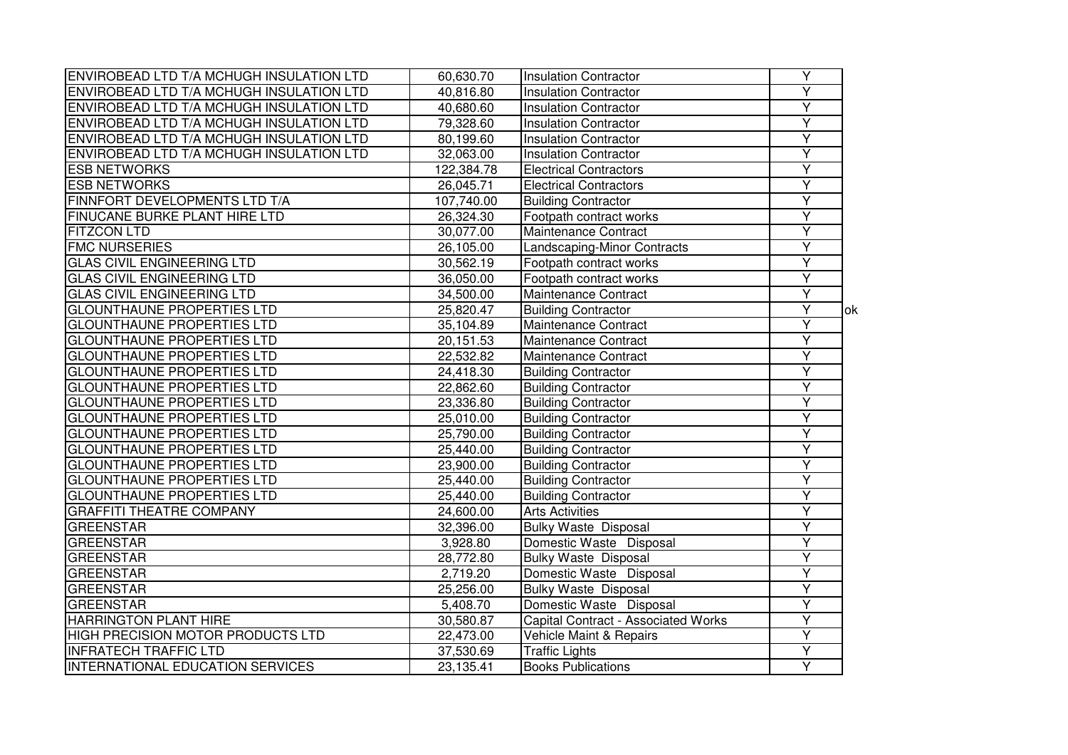| ENVIROBEAD LTD T/A MCHUGH INSULATION LTD | 60,630.70  | <b>Insulation Contractor</b>        | $\overline{Y}$          |    |
|------------------------------------------|------------|-------------------------------------|-------------------------|----|
| ENVIROBEAD LTD T/A MCHUGH INSULATION LTD | 40,816.80  | <b>Insulation Contractor</b>        | $\overline{\mathsf{Y}}$ |    |
| ENVIROBEAD LTD T/A MCHUGH INSULATION LTD | 40,680.60  | <b>Insulation Contractor</b>        | Ÿ                       |    |
| ENVIROBEAD LTD T/A MCHUGH INSULATION LTD | 79,328.60  | <b>Insulation Contractor</b>        | $\overline{Y}$          |    |
| ENVIROBEAD LTD T/A MCHUGH INSULATION LTD | 80,199.60  | <b>Insulation Contractor</b>        | $\overline{\mathsf{Y}}$ |    |
| ENVIROBEAD LTD T/A MCHUGH INSULATION LTD | 32,063.00  | <b>Insulation Contractor</b>        | $\overline{Y}$          |    |
| <b>ESB NETWORKS</b>                      | 122,384.78 | <b>Electrical Contractors</b>       | $\overline{Y}$          |    |
| <b>ESB NETWORKS</b>                      | 26,045.71  | <b>Electrical Contractors</b>       | Ÿ                       |    |
| FINNFORT DEVELOPMENTS LTD T/A            | 107,740.00 | <b>Building Contractor</b>          | Ÿ                       |    |
| FINUCANE BURKE PLANT HIRE LTD            | 26,324.30  | Footpath contract works             | Ÿ                       |    |
| <b>FITZCON LTD</b>                       | 30,077.00  | Maintenance Contract                | Ÿ                       |    |
| <b>FMC NURSERIES</b>                     | 26,105.00  | Landscaping-Minor Contracts         | $\overline{Y}$          |    |
| <b>GLAS CIVIL ENGINEERING LTD</b>        | 30,562.19  | Footpath contract works             | Ÿ                       |    |
| <b>GLAS CIVIL ENGINEERING LTD</b>        | 36,050.00  | Footpath contract works             | $\overline{Y}$          |    |
| <b>GLAS CIVIL ENGINEERING LTD</b>        | 34,500.00  | Maintenance Contract                | $\overline{Y}$          |    |
| <b>GLOUNTHAUNE PROPERTIES LTD</b>        | 25,820.47  | <b>Building Contractor</b>          | $\overline{\mathsf{Y}}$ | ok |
| <b>GLOUNTHAUNE PROPERTIES LTD</b>        | 35,104.89  | Maintenance Contract                | Ÿ                       |    |
| <b>GLOUNTHAUNE PROPERTIES LTD</b>        | 20,151.53  | Maintenance Contract                | Υ                       |    |
| <b>GLOUNTHAUNE PROPERTIES LTD</b>        | 22,532.82  | Maintenance Contract                | Ÿ                       |    |
| <b>GLOUNTHAUNE PROPERTIES LTD</b>        | 24,418.30  | <b>Building Contractor</b>          | $\overline{\mathsf{Y}}$ |    |
| <b>GLOUNTHAUNE PROPERTIES LTD</b>        | 22,862.60  | <b>Building Contractor</b>          | $\overline{Y}$          |    |
| <b>GLOUNTHAUNE PROPERTIES LTD</b>        | 23,336.80  | <b>Building Contractor</b>          | Ÿ                       |    |
| <b>GLOUNTHAUNE PROPERTIES LTD</b>        | 25,010.00  | <b>Building Contractor</b>          | $\overline{\mathsf{Y}}$ |    |
| <b>GLOUNTHAUNE PROPERTIES LTD</b>        | 25,790.00  | <b>Building Contractor</b>          | $\overline{\mathsf{Y}}$ |    |
| <b>GLOUNTHAUNE PROPERTIES LTD</b>        | 25,440.00  | <b>Building Contractor</b>          | Ÿ                       |    |
| <b>GLOUNTHAUNE PROPERTIES LTD</b>        | 23,900.00  | <b>Building Contractor</b>          | $\overline{Y}$          |    |
| <b>GLOUNTHAUNE PROPERTIES LTD</b>        | 25,440.00  | <b>Building Contractor</b>          | Ÿ                       |    |
| <b>GLOUNTHAUNE PROPERTIES LTD</b>        | 25,440.00  | <b>Building Contractor</b>          | Y                       |    |
| <b>GRAFFITI THEATRE COMPANY</b>          | 24,600.00  | <b>Arts Activities</b>              | Y                       |    |
| <b>GREENSTAR</b>                         | 32,396.00  | <b>Bulky Waste Disposal</b>         | Ÿ                       |    |
| <b>GREENSTAR</b>                         | 3,928.80   | Domestic Waste Disposal             | $\overline{\mathsf{Y}}$ |    |
| <b>GREENSTAR</b>                         | 28,772.80  | <b>Bulky Waste Disposal</b>         | $\overline{Y}$          |    |
| <b>GREENSTAR</b>                         | 2,719.20   | Domestic Waste Disposal             | $\overline{\mathsf{Y}}$ |    |
| <b>GREENSTAR</b>                         | 25,256.00  | <b>Bulky Waste Disposal</b>         | $\overline{\mathsf{Y}}$ |    |
| <b>GREENSTAR</b>                         | 5,408.70   | Domestic Waste Disposal             | Y                       |    |
| <b>HARRINGTON PLANT HIRE</b>             | 30,580.87  | Capital Contract - Associated Works | $\overline{Y}$          |    |
| HIGH PRECISION MOTOR PRODUCTS LTD        | 22,473.00  | Vehicle Maint & Repairs             | Y                       |    |
| <b>INFRATECH TRAFFIC LTD</b>             | 37,530.69  | <b>Traffic Lights</b>               | Y                       |    |
| <b>INTERNATIONAL EDUCATION SERVICES</b>  | 23,135.41  | <b>Books Publications</b>           | Y                       |    |
|                                          |            |                                     |                         |    |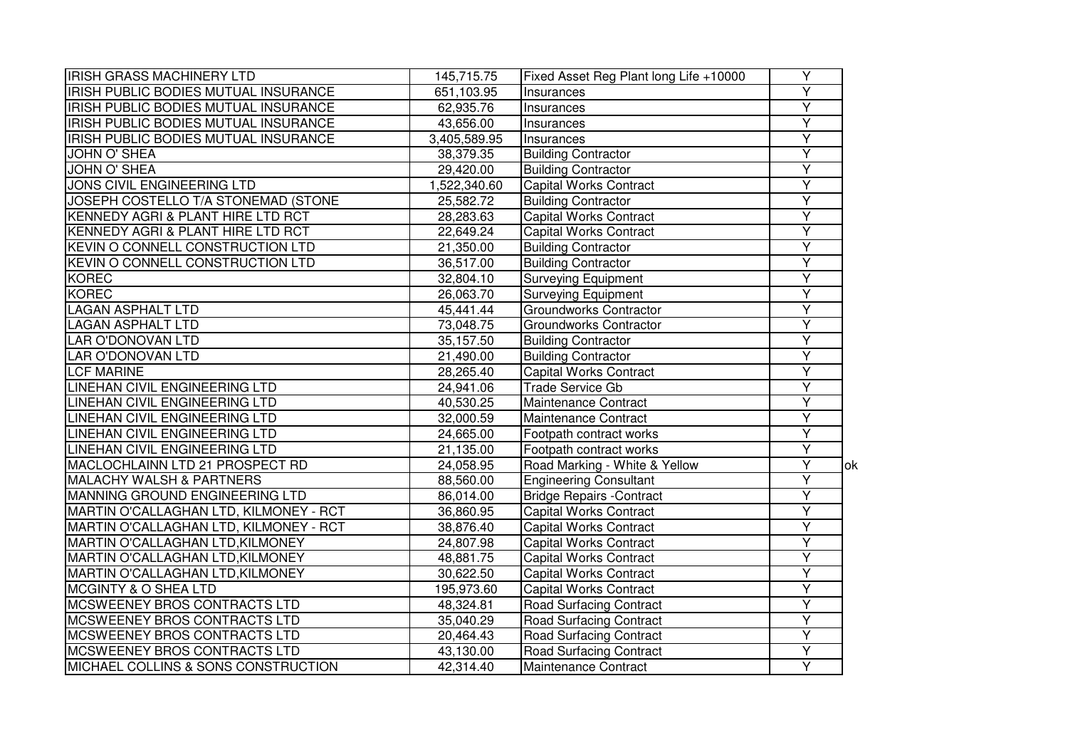| <b>IRISH GRASS MACHINERY LTD</b>        | 145,715.75   | Fixed Asset Reg Plant long Life +10000 | Y                       |             |
|-----------------------------------------|--------------|----------------------------------------|-------------------------|-------------|
| IRISH PUBLIC BODIES MUTUAL INSURANCE    | 651,103.95   | Insurances                             | Ÿ                       |             |
| IRISH PUBLIC BODIES MUTUAL INSURANCE    | 62,935.76    | Insurances                             | $\overline{Y}$          |             |
| IRISH PUBLIC BODIES MUTUAL INSURANCE    | 43,656.00    | Insurances                             | $\overline{Y}$          |             |
| IRISH PUBLIC BODIES MUTUAL INSURANCE    | 3,405,589.95 | Insurances                             | $\overline{Y}$          |             |
| JOHN O' SHEA                            | 38,379.35    | <b>Building Contractor</b>             | $\overline{Y}$          |             |
| <b>JOHN O' SHEA</b>                     | 29,420.00    | <b>Building Contractor</b>             | Ÿ                       |             |
| JONS CIVIL ENGINEERING LTD              | 1,522,340.60 | <b>Capital Works Contract</b>          | Υ                       |             |
| JOSEPH COSTELLO T/A STONEMAD (STONE     | 25,582.72    | <b>Building Contractor</b>             | Ÿ                       |             |
| KENNEDY AGRI & PLANT HIRE LTD RCT       | 28,283.63    | Capital Works Contract                 | Ÿ                       |             |
| KENNEDY AGRI & PLANT HIRE LTD RCT       | 22,649.24    | <b>Capital Works Contract</b>          | Ÿ                       |             |
| KEVIN O CONNELL CONSTRUCTION LTD        | 21,350.00    | <b>Building Contractor</b>             | $\overline{Y}$          |             |
| <b>KEVIN O CONNELL CONSTRUCTION LTD</b> | 36,517.00    | <b>Building Contractor</b>             | Ÿ                       |             |
| <b>KOREC</b>                            | 32,804.10    | <b>Surveying Equipment</b>             | Ÿ                       |             |
| <b>KOREC</b>                            | 26,063.70    | <b>Surveying Equipment</b>             | $\overline{Y}$          |             |
| <b>LAGAN ASPHALT LTD</b>                | 45,441.44    | Groundworks Contractor                 | Ÿ                       |             |
| <b>LAGAN ASPHALT LTD</b>                | 73,048.75    | Groundworks Contractor                 | Ÿ                       |             |
| <b>LAR O'DONOVAN LTD</b>                | 35,157.50    | <b>Building Contractor</b>             | Υ                       |             |
| LAR O'DONOVAN LTD                       | 21,490.00    | <b>Building Contractor</b>             | $\overline{\mathsf{Y}}$ |             |
| <b>LCF MARINE</b>                       | 28,265.40    | <b>Capital Works Contract</b>          | $\overline{Y}$          |             |
| LINEHAN CIVIL ENGINEERING LTD           | 24,941.06    | Trade Service Gb                       | $\overline{Y}$          |             |
| LINEHAN CIVIL ENGINEERING LTD           | 40,530.25    | Maintenance Contract                   | Ÿ                       |             |
| LINEHAN CIVIL ENGINEERING LTD           | 32,000.59    | Maintenance Contract                   | Y                       |             |
| <b>LINEHAN CIVIL ENGINEERING LTD</b>    | 24,665.00    | Footpath contract works                | $\overline{\mathsf{Y}}$ |             |
| LINEHAN CIVIL ENGINEERING LTD           | 21,135.00    | Footpath contract works                | $\overline{\mathsf{Y}}$ |             |
| MACLOCHLAINN LTD 21 PROSPECT RD         | 24,058.95    | Road Marking - White & Yellow          | Y                       | <b>l</b> ok |
| <b>MALACHY WALSH &amp; PARTNERS</b>     | 88,560.00    | <b>Engineering Consultant</b>          | Y                       |             |
| MANNING GROUND ENGINEERING LTD          | 86,014.00    | <b>Bridge Repairs - Contract</b>       | Y                       |             |
| MARTIN O'CALLAGHAN LTD, KILMONEY - RCT  | 36,860.95    | <b>Capital Works Contract</b>          | Y                       |             |
| MARTIN O'CALLAGHAN LTD, KILMONEY - RCT  | 38,876.40    | <b>Capital Works Contract</b>          | Ÿ                       |             |
| MARTIN O'CALLAGHAN LTD, KILMONEY        | 24,807.98    | <b>Capital Works Contract</b>          | Ÿ                       |             |
| MARTIN O'CALLAGHAN LTD, KILMONEY        | 48,881.75    | <b>Capital Works Contract</b>          | Y                       |             |
| MARTIN O'CALLAGHAN LTD, KILMONEY        | 30,622.50    | <b>Capital Works Contract</b>          | Y                       |             |
| <b>MCGINTY &amp; O SHEA LTD</b>         | 195,973.60   | <b>Capital Works Contract</b>          | Ÿ                       |             |
| MCSWEENEY BROS CONTRACTS LTD            | 48,324.81    | Road Surfacing Contract                | $\overline{Y}$          |             |
| MCSWEENEY BROS CONTRACTS LTD            | 35,040.29    | <b>Road Surfacing Contract</b>         | Y                       |             |
| MCSWEENEY BROS CONTRACTS LTD            | 20,464.43    | <b>Road Surfacing Contract</b>         | Y                       |             |
| MCSWEENEY BROS CONTRACTS LTD            | 43,130.00    | <b>Road Surfacing Contract</b>         | Y                       |             |
|                                         | 42,314.40    | Maintenance Contract                   | Ÿ                       |             |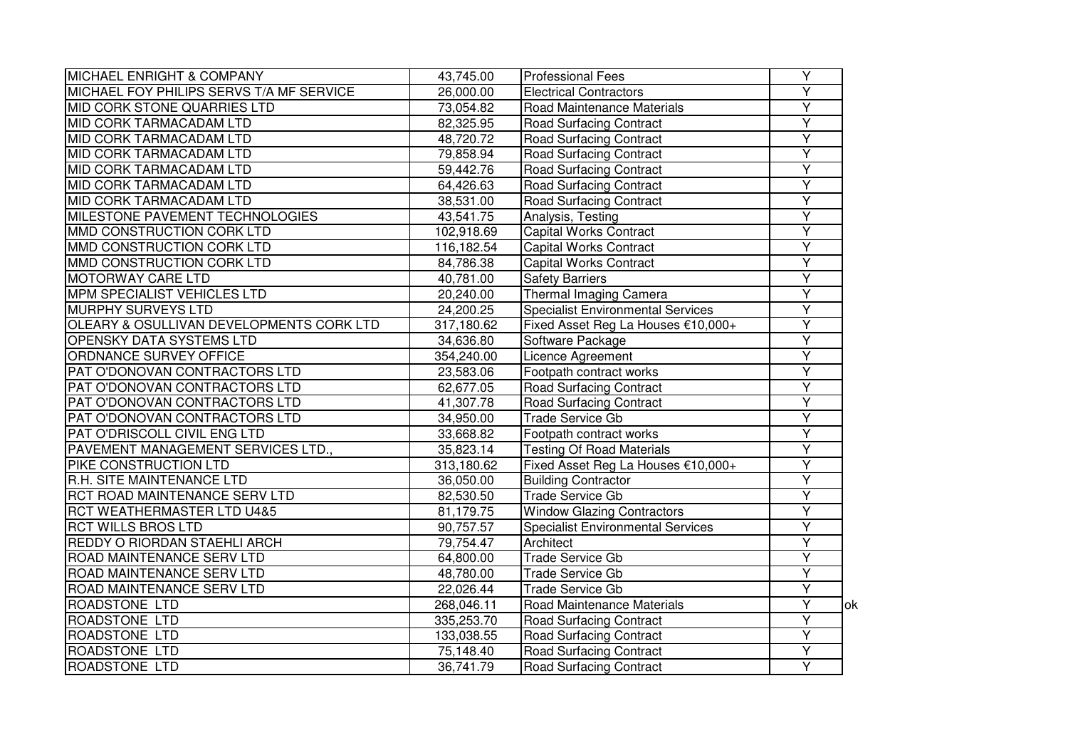| <b>MICHAEL ENRIGHT &amp; COMPANY</b>     | 43,745.00  | <b>Professional Fees</b>                 | Y                       |     |
|------------------------------------------|------------|------------------------------------------|-------------------------|-----|
| MICHAEL FOY PHILIPS SERVS T/A MF SERVICE | 26,000.00  | <b>Electrical Contractors</b>            | Υ                       |     |
| <b>MID CORK STONE QUARRIES LTD</b>       | 73,054.82  | Road Maintenance Materials               | $\overline{Y}$          |     |
| <b>MID CORK TARMACADAM LTD</b>           | 82,325.95  | <b>Road Surfacing Contract</b>           | $\overline{Y}$          |     |
| <b>MID CORK TARMACADAM LTD</b>           | 48,720.72  | <b>Road Surfacing Contract</b>           | $\overline{\mathsf{Y}}$ |     |
| <b>MID CORK TARMACADAM LTD</b>           | 79,858.94  | <b>Road Surfacing Contract</b>           | Y                       |     |
| MID CORK TARMACADAM LTD                  | 59,442.76  | <b>Road Surfacing Contract</b>           | Υ                       |     |
| MID CORK TARMACADAM LTD                  | 64,426.63  | <b>Road Surfacing Contract</b>           | Υ                       |     |
| MID CORK TARMACADAM LTD                  | 38,531.00  | <b>Road Surfacing Contract</b>           | $\overline{\mathsf{Y}}$ |     |
| MILESTONE PAVEMENT TECHNOLOGIES          | 43,541.75  | Analysis, Testing                        | $\overline{Y}$          |     |
| MMD CONSTRUCTION CORK LTD                | 102,918.69 | <b>Capital Works Contract</b>            | $\overline{\mathsf{Y}}$ |     |
| MMD CONSTRUCTION CORK LTD                | 116,182.54 | <b>Capital Works Contract</b>            | Y                       |     |
| MMD CONSTRUCTION CORK LTD                | 84,786.38  | <b>Capital Works Contract</b>            | $\overline{\mathsf{Y}}$ |     |
| <b>MOTORWAY CARE LTD</b>                 | 40,781.00  | <b>Safety Barriers</b>                   | $\overline{Y}$          |     |
| <b>MPM SPECIALIST VEHICLES LTD</b>       | 20,240.00  | <b>Thermal Imaging Camera</b>            | Y                       |     |
| <b>MURPHY SURVEYS LTD</b>                | 24,200.25  | <b>Specialist Environmental Services</b> | Υ                       |     |
| OLEARY & OSULLIVAN DEVELOPMENTS CORK LTD | 317,180.62 | Fixed Asset Reg La Houses €10,000+       | Y                       |     |
| <b>OPENSKY DATA SYSTEMS LTD</b>          | 34,636.80  | Software Package                         | $\overline{\mathsf{Y}}$ |     |
| ORDNANCE SURVEY OFFICE                   | 354,240.00 | Licence Agreement                        | Y                       |     |
| PAT O'DONOVAN CONTRACTORS LTD            | 23,583.06  | Footpath contract works                  | $\overline{\mathsf{Y}}$ |     |
| PAT O'DONOVAN CONTRACTORS LTD            | 62,677.05  | <b>Road Surfacing Contract</b>           | $\overline{Y}$          |     |
| PAT O'DONOVAN CONTRACTORS LTD            | 41,307.78  | <b>Road Surfacing Contract</b>           | Ÿ                       |     |
| PAT O'DONOVAN CONTRACTORS LTD            | 34,950.00  | <b>Trade Service Gb</b>                  | Y                       |     |
| PAT O'DRISCOLL CIVIL ENG LTD             | 33,668.82  | Footpath contract works                  | Y                       |     |
| PAVEMENT MANAGEMENT SERVICES LTD.,       | 35,823.14  | <b>Testing Of Road Materials</b>         | Ÿ                       |     |
| PIKE CONSTRUCTION LTD                    | 313,180.62 | Fixed Asset Reg La Houses €10,000+       | Y                       |     |
| R.H. SITE MAINTENANCE LTD                | 36,050.00  | <b>Building Contractor</b>               | $\overline{\mathsf{Y}}$ |     |
| RCT ROAD MAINTENANCE SERV LTD            | 82,530.50  | <b>Trade Service Gb</b>                  | $\overline{Y}$          |     |
| RCT WEATHERMASTER LTD U4&5               | 81,179.75  | <b>Window Glazing Contractors</b>        | $\overline{Y}$          |     |
| <b>RCT WILLS BROS LTD</b>                | 90,757.57  | <b>Specialist Environmental Services</b> | $\overline{Y}$          |     |
| REDDY O RIORDAN STAEHLI ARCH             | 79,754.47  | Architect                                | Ÿ                       |     |
| ROAD MAINTENANCE SERV LTD                | 64,800.00  | <b>Trade Service Gb</b>                  | Y                       |     |
| ROAD MAINTENANCE SERV LTD                | 48,780.00  | Trade Service Gb                         | Y                       |     |
| ROAD MAINTENANCE SERV LTD                | 22,026.44  | <b>Trade Service Gb</b>                  | Y                       |     |
| <b>ROADSTONE LTD</b>                     | 268,046.11 | Road Maintenance Materials               | Y                       | lok |
| <b>ROADSTONE LTD</b>                     | 335,253.70 | Road Surfacing Contract                  | Ÿ                       |     |
| ROADSTONE LTD                            | 133,038.55 | <b>Road Surfacing Contract</b>           | Y                       |     |
| ROADSTONE LTD                            | 75,148.40  | <b>Road Surfacing Contract</b>           | $\overline{Y}$          |     |
| ROADSTONE LTD                            | 36,741.79  | Road Surfacing Contract                  | Ÿ                       |     |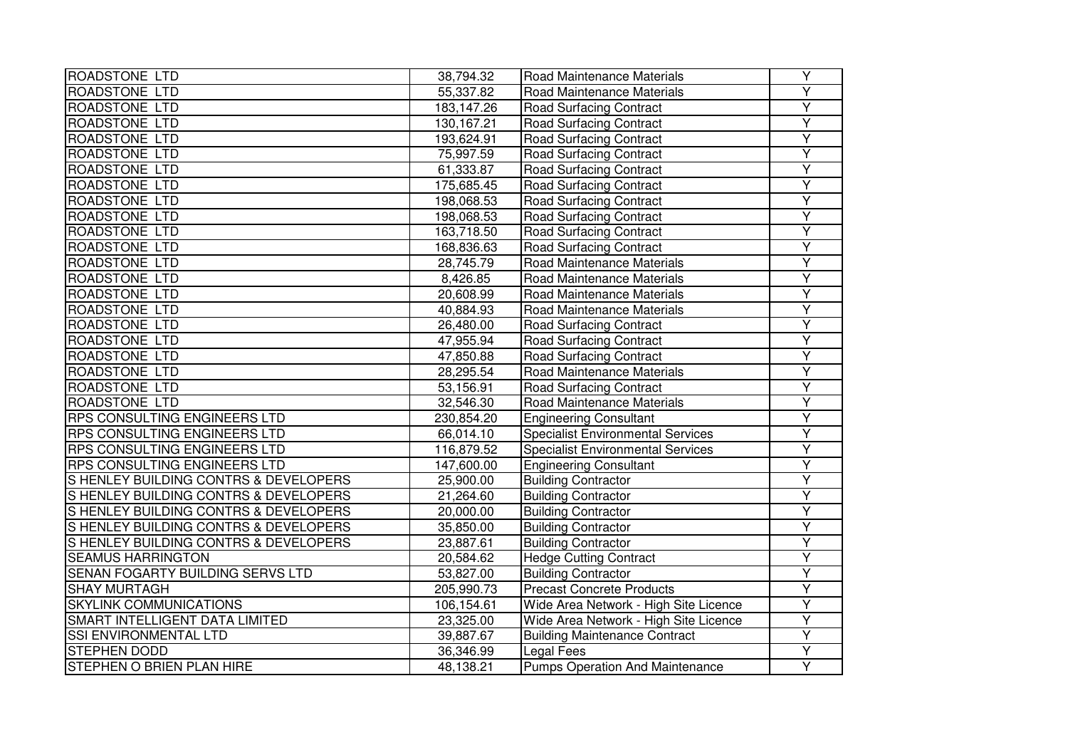| <b>ROADSTONE LTD</b>                  | 38,794.32  | Road Maintenance Materials               | Υ                       |
|---------------------------------------|------------|------------------------------------------|-------------------------|
| <b>ROADSTONE LTD</b>                  | 55,337.82  | Road Maintenance Materials               | Ÿ                       |
| <b>ROADSTONE LTD</b>                  | 183,147.26 | <b>Road Surfacing Contract</b>           | $\overline{\mathsf{Y}}$ |
| ROADSTONE LTD                         | 130,167.21 | <b>Road Surfacing Contract</b>           | $\overline{Y}$          |
| ROADSTONE LTD                         | 193,624.91 | <b>Road Surfacing Contract</b>           | Ÿ                       |
| ROADSTONE LTD                         | 75,997.59  | <b>Road Surfacing Contract</b>           | Y                       |
| ROADSTONE LTD                         | 61,333.87  | Road Surfacing Contract                  | Y                       |
| ROADSTONE LTD                         | 175,685.45 | Road Surfacing Contract                  | Y                       |
| ROADSTONE LTD                         | 198,068.53 | <b>Road Surfacing Contract</b>           | Y                       |
| <b>ROADSTONE LTD</b>                  | 198,068.53 | <b>Road Surfacing Contract</b>           | $\overline{\mathsf{Y}}$ |
| <b>ROADSTONE LTD</b>                  | 163,718.50 | <b>Road Surfacing Contract</b>           | $\overline{\mathsf{Y}}$ |
| ROADSTONE LTD                         | 168,836.63 | <b>Road Surfacing Contract</b>           | Y                       |
| ROADSTONE LTD                         | 28,745.79  | Road Maintenance Materials               | $\overline{\mathsf{Y}}$ |
| ROADSTONE LTD                         | 8,426.85   | Road Maintenance Materials               | Ÿ                       |
| <b>ROADSTONE LTD</b>                  | 20,608.99  | Road Maintenance Materials               | Y                       |
| ROADSTONE LTD                         | 40,884.93  | Road Maintenance Materials               | Y                       |
| ROADSTONE LTD                         | 26,480.00  | <b>Road Surfacing Contract</b>           | Y                       |
| ROADSTONE LTD                         | 47,955.94  | <b>Road Surfacing Contract</b>           | Y                       |
| <b>ROADSTONE LTD</b>                  | 47,850.88  | <b>Road Surfacing Contract</b>           | Ÿ                       |
| ROADSTONE LTD                         | 28,295.54  | Road Maintenance Materials               | $\overline{\mathsf{Y}}$ |
| ROADSTONE LTD                         | 53,156.91  | <b>Road Surfacing Contract</b>           | $\overline{\mathsf{Y}}$ |
| ROADSTONE LTD                         | 32,546.30  | Road Maintenance Materials               | $\overline{\mathsf{Y}}$ |
| RPS CONSULTING ENGINEERS LTD          | 230,854.20 | <b>Engineering Consultant</b>            | Y                       |
| <b>RPS CONSULTING ENGINEERS LTD</b>   | 66,014.10  | <b>Specialist Environmental Services</b> | Ÿ                       |
| RPS CONSULTING ENGINEERS LTD          | 116,879.52 | <b>Specialist Environmental Services</b> | $\overline{\mathsf{Y}}$ |
| RPS CONSULTING ENGINEERS LTD          | 147,600.00 | <b>Engineering Consultant</b>            | Y                       |
| S HENLEY BUILDING CONTRS & DEVELOPERS | 25,900.00  | <b>Building Contractor</b>               | Y                       |
| S HENLEY BUILDING CONTRS & DEVELOPERS | 21,264.60  | <b>Building Contractor</b>               | Y                       |
| S HENLEY BUILDING CONTRS & DEVELOPERS | 20,000.00  | <b>Building Contractor</b>               | Y                       |
| S HENLEY BUILDING CONTRS & DEVELOPERS | 35,850.00  | <b>Building Contractor</b>               | $\overline{\mathsf{Y}}$ |
| S HENLEY BUILDING CONTRS & DEVELOPERS | 23,887.61  | <b>Building Contractor</b>               | Ÿ                       |
| <b>SEAMUS HARRINGTON</b>              | 20,584.62  | <b>Hedge Cutting Contract</b>            | Y                       |
| SENAN FOGARTY BUILDING SERVS LTD      | 53,827.00  | <b>Building Contractor</b>               | $\overline{\mathsf{Y}}$ |
| <b>SHAY MURTAGH</b>                   | 205,990.73 | <b>Precast Concrete Products</b>         | Ÿ                       |
| <b>SKYLINK COMMUNICATIONS</b>         | 106,154.61 | Wide Area Network - High Site Licence    | $\overline{\mathsf{Y}}$ |
| SMART INTELLIGENT DATA LIMITED        | 23,325.00  | Wide Area Network - High Site Licence    | Ÿ                       |
| <b>SSI ENVIRONMENTAL LTD</b>          | 39,887.67  | <b>Building Maintenance Contract</b>     | Υ                       |
| <b>STEPHEN DODD</b>                   | 36,346.99  | Legal Fees                               | Y                       |
| STEPHEN O BRIEN PLAN HIRE             | 48,138.21  | <b>Pumps Operation And Maintenance</b>   | Ÿ                       |
|                                       |            |                                          |                         |